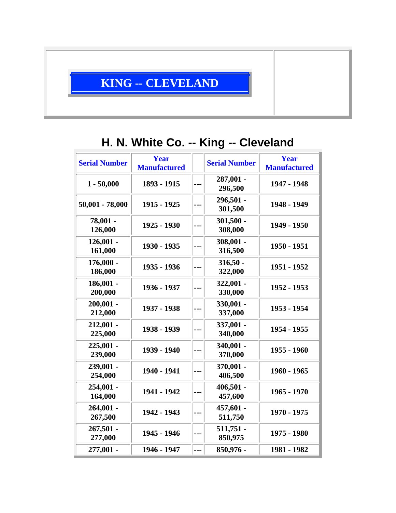## **KING -- CLEVELAND**

## **H. N. White Co. -- King -- Cleveland**

| <b>Serial Number</b>   | <b>Year</b><br><b>Manufactured</b> |     | <b>Serial Number</b>   | <b>Year</b><br><b>Manufactured</b> |
|------------------------|------------------------------------|-----|------------------------|------------------------------------|
| $1 - 50,000$           | 1893 - 1915                        |     | 287,001 -<br>296,500   | 1947 - 1948                        |
| 50,001 - 78,000        | 1915 - 1925                        |     | 296,501 -<br>301,500   | 1948 - 1949                        |
| 78,001 -<br>126,000    | 1925 - 1930                        |     | $301,500 -$<br>308,000 | 1949 - 1950                        |
| $126,001 -$<br>161,000 | 1930 - 1935                        |     | 308,001 -<br>316,500   | 1950 - 1951                        |
| 176,000 -<br>186,000   | 1935 - 1936                        |     | $316,50 -$<br>322,000  | 1951 - 1952                        |
| $186,001 -$<br>200,000 | 1936 - 1937                        | --- | $322,001 -$<br>330,000 | 1952 - 1953                        |
| $200,001 -$<br>212,000 | 1937 - 1938                        |     | 330,001 -<br>337,000   | 1953 - 1954                        |
| $212,001 -$<br>225,000 | 1938 - 1939                        | --- | 337,001 -<br>340,000   | 1954 - 1955                        |
| $225,001 -$<br>239,000 | 1939 - 1940                        |     | 340,001 -<br>370,000   | 1955 - 1960                        |
| 239,001 -<br>254,000   | 1940 - 1941                        |     | 370,001 -<br>406,500   | 1960 - 1965                        |
| $254,001 -$<br>164,000 | 1941 - 1942                        |     | $406,501 -$<br>457,600 | 1965 - 1970                        |
| $264,001 -$<br>267,500 | 1942 - 1943                        |     | 457,601 -<br>511,750   | 1970 - 1975                        |
| $267,501 -$<br>277,000 | 1945 - 1946                        | --- | $511,751 -$<br>850,975 | 1975 - 1980                        |
| 277,001 -              | 1946 - 1947                        | --- | 850,976 -              | 1981 - 1982                        |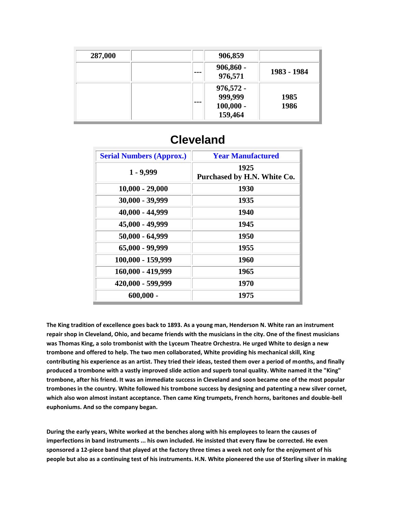| 287,000 | 906,859                                                 |              |
|---------|---------------------------------------------------------|--------------|
|         | $906,860 -$<br>$- - -$<br>976,571                       | 1983 - 1984  |
|         | $976,572 -$<br>999,999<br>---<br>$100,000 -$<br>159,464 | 1985<br>1986 |

| <b>Serial Numbers (Approx.)</b> | <b>Year Manufactured</b>            |
|---------------------------------|-------------------------------------|
| $1 - 9,999$                     | 1925<br>Purchased by H.N. White Co. |
| $10,000 - 29,000$               | 1930                                |
| 30,000 - 39,999                 | 1935                                |
| 40,000 - 44,999                 | 1940                                |
| 45,000 - 49,999                 | 1945                                |
| $50,000 - 64,999$               | 1950                                |
| 65,000 - 99,999                 | 1955                                |
| 100,000 - 159,999               | 1960                                |
| 160,000 - 419,999               | 1965                                |
| 420,000 - 599,999               | 1970                                |
| $600,000 -$                     | 1975                                |

## **Cleveland**

**The King tradition of excellence goes back to 1893. As a young man, Henderson N. White ran an instrument repair shop in Cleveland, Ohio, and became friends with the musicians in the city. One of the finest musicians was Thomas King, a solo trombonist with the Lyceum Theatre Orchestra. He urged White to design a new trombone and offered to help. The two men collaborated, White providing his mechanical skill, King contributing his experience as an artist. They tried their ideas, tested them over a period of months, and finally produced a trombone with a vastly improved slide action and superb tonal quality. White named it the "King" trombone, after his friend. It was an immediate success in Cleveland and soon became one of the most popular trombones in the country. White followed his trombone success by designing and patenting a new silver cornet, which also won almost instant acceptance. Then came King trumpets, French horns, baritones and double-bell euphoniums. And so the company began.**

**During the early years, White worked at the benches along with his employees to learn the causes of imperfections in band instruments ... his own included. He insisted that every flaw be corrected. He even sponsored a 12-piece band that played at the factory three times a week not only for the enjoyment of his people but also as a continuing test of his instruments. H.N. White pioneered the use of Sterling silver in making**